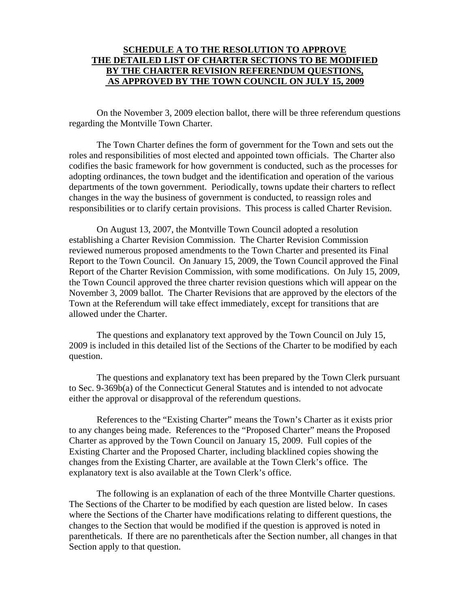#### **SCHEDULE A TO THE RESOLUTION TO APPROVE THE DETAILED LIST OF CHARTER SECTIONS TO BE MODIFIED BY THE CHARTER REVISION REFERENDUM QUESTIONS, AS APPROVED BY THE TOWN COUNCIL ON JULY 15, 2009**

 On the November 3, 2009 election ballot, there will be three referendum questions regarding the Montville Town Charter.

The Town Charter defines the form of government for the Town and sets out the roles and responsibilities of most elected and appointed town officials. The Charter also codifies the basic framework for how government is conducted, such as the processes for adopting ordinances, the town budget and the identification and operation of the various departments of the town government. Periodically, towns update their charters to reflect changes in the way the business of government is conducted, to reassign roles and responsibilities or to clarify certain provisions. This process is called Charter Revision.

On August 13, 2007, the Montville Town Council adopted a resolution establishing a Charter Revision Commission. The Charter Revision Commission reviewed numerous proposed amendments to the Town Charter and presented its Final Report to the Town Council. On January 15, 2009, the Town Council approved the Final Report of the Charter Revision Commission, with some modifications. On July 15, 2009, the Town Council approved the three charter revision questions which will appear on the November 3, 2009 ballot. The Charter Revisions that are approved by the electors of the Town at the Referendum will take effect immediately, except for transitions that are allowed under the Charter.

The questions and explanatory text approved by the Town Council on July 15, 2009 is included in this detailed list of the Sections of the Charter to be modified by each question.

 The questions and explanatory text has been prepared by the Town Clerk pursuant to Sec. 9-369b(a) of the Connecticut General Statutes and is intended to not advocate either the approval or disapproval of the referendum questions.

References to the "Existing Charter" means the Town's Charter as it exists prior to any changes being made. References to the "Proposed Charter" means the Proposed Charter as approved by the Town Council on January 15, 2009. Full copies of the Existing Charter and the Proposed Charter, including blacklined copies showing the changes from the Existing Charter, are available at the Town Clerk's office. The explanatory text is also available at the Town Clerk's office.

The following is an explanation of each of the three Montville Charter questions. The Sections of the Charter to be modified by each question are listed below. In cases where the Sections of the Charter have modifications relating to different questions, the changes to the Section that would be modified if the question is approved is noted in parentheticals. If there are no parentheticals after the Section number, all changes in that Section apply to that question.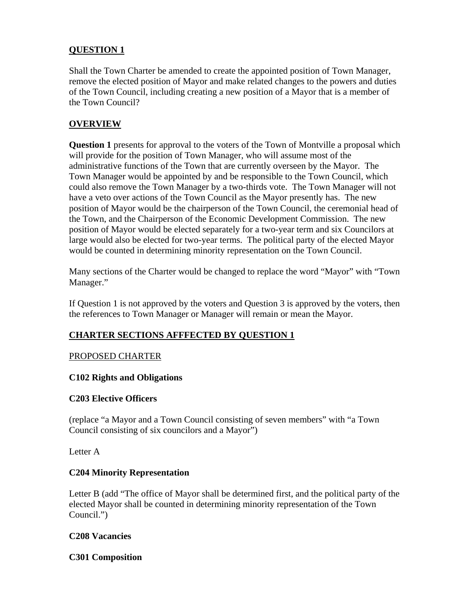## **QUESTION 1**

Shall the Town Charter be amended to create the appointed position of Town Manager, remove the elected position of Mayor and make related changes to the powers and duties of the Town Council, including creating a new position of a Mayor that is a member of the Town Council?

## **OVERVIEW**

**Question 1** presents for approval to the voters of the Town of Montville a proposal which will provide for the position of Town Manager, who will assume most of the administrative functions of the Town that are currently overseen by the Mayor. The Town Manager would be appointed by and be responsible to the Town Council, which could also remove the Town Manager by a two-thirds vote. The Town Manager will not have a veto over actions of the Town Council as the Mayor presently has. The new position of Mayor would be the chairperson of the Town Council, the ceremonial head of the Town, and the Chairperson of the Economic Development Commission. The new position of Mayor would be elected separately for a two-year term and six Councilors at large would also be elected for two-year terms. The political party of the elected Mayor would be counted in determining minority representation on the Town Council.

Many sections of the Charter would be changed to replace the word "Mayor" with "Town Manager."

If Question 1 is not approved by the voters and Question 3 is approved by the voters, then the references to Town Manager or Manager will remain or mean the Mayor.

### **CHARTER SECTIONS AFFFECTED BY QUESTION 1**

### PROPOSED CHARTER

#### **C102 Rights and Obligations**

#### **C203 Elective Officers**

(replace "a Mayor and a Town Council consisting of seven members" with "a Town Council consisting of six councilors and a Mayor")

Letter A

### **C204 Minority Representation**

Letter B (add "The office of Mayor shall be determined first, and the political party of the elected Mayor shall be counted in determining minority representation of the Town Council.")

#### **C208 Vacancies**

**C301 Composition**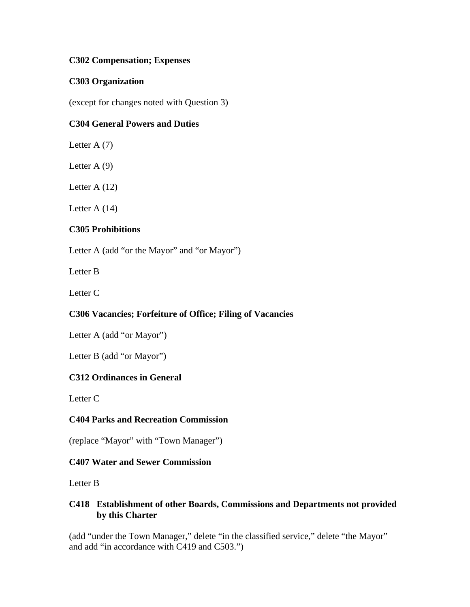#### **C302 Compensation; Expenses**

#### **C303 Organization**

(except for changes noted with Question 3)

### **C304 General Powers and Duties**

Letter A  $(7)$ 

Letter  $A(9)$ 

Letter A (12)

Letter A (14)

#### **C305 Prohibitions**

Letter A (add "or the Mayor" and "or Mayor")

Letter B

Letter C

### **C306 Vacancies; Forfeiture of Office; Filing of Vacancies**

Letter A (add "or Mayor")

Letter B (add "or Mayor")

### **C312 Ordinances in General**

Letter C

### **C404 Parks and Recreation Commission**

(replace "Mayor" with "Town Manager")

### **C407 Water and Sewer Commission**

Letter B

#### **C418 Establishment of other Boards, Commissions and Departments not provided by this Charter**

(add "under the Town Manager," delete "in the classified service," delete "the Mayor" and add "in accordance with C419 and C503.")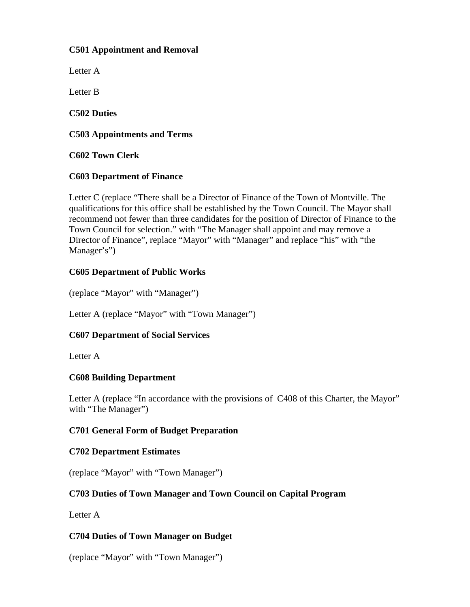#### **C501 Appointment and Removal**

Letter A

Letter B

**C502 Duties** 

### **C503 Appointments and Terms**

**C602 Town Clerk** 

### **C603 Department of Finance**

Letter C (replace "There shall be a Director of Finance of the Town of Montville. The qualifications for this office shall be established by the Town Council. The Mayor shall recommend not fewer than three candidates for the position of Director of Finance to the Town Council for selection." with "The Manager shall appoint and may remove a Director of Finance", replace "Mayor" with "Manager" and replace "his" with "the Manager's")

## **C605 Department of Public Works**

(replace "Mayor" with "Manager")

Letter A (replace "Mayor" with "Town Manager")

### **C607 Department of Social Services**

Letter A

### **C608 Building Department**

Letter A (replace "In accordance with the provisions of C408 of this Charter, the Mayor" with "The Manager")

### **C701 General Form of Budget Preparation**

### **C702 Department Estimates**

(replace "Mayor" with "Town Manager")

### **C703 Duties of Town Manager and Town Council on Capital Program**

Letter A

### **C704 Duties of Town Manager on Budget**

(replace "Mayor" with "Town Manager")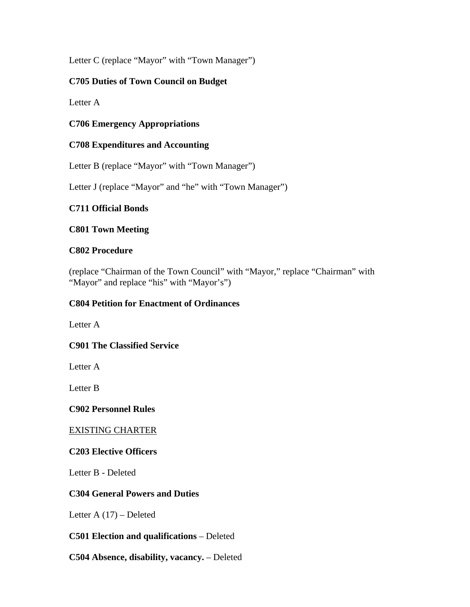Letter C (replace "Mayor" with "Town Manager")

## **C705 Duties of Town Council on Budget**

Letter A

**C706 Emergency Appropriations** 

## **C708 Expenditures and Accounting**

Letter B (replace "Mayor" with "Town Manager")

Letter J (replace "Mayor" and "he" with "Town Manager")

### **C711 Official Bonds**

### **C801 Town Meeting**

### **C802 Procedure**

(replace "Chairman of the Town Council" with "Mayor," replace "Chairman" with "Mayor" and replace "his" with "Mayor's")

## **C804 Petition for Enactment of Ordinances**

Letter A

### **C901 The Classified Service**

Letter A

Letter B

### **C902 Personnel Rules**

### EXISTING CHARTER

### **C203 Elective Officers**

Letter B - Deleted

### **C304 General Powers and Duties**

Letter A (17) – Deleted

### **C501 Election and qualifications** – Deleted

### **C504 Absence, disability, vacancy.** – Deleted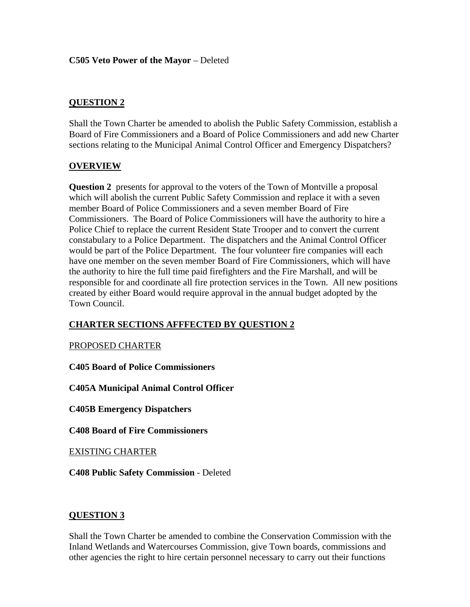# **QUESTION 2**

Shall the Town Charter be amended to abolish the Public Safety Commission, establish a Board of Fire Commissioners and a Board of Police Commissioners and add new Charter sections relating to the Municipal Animal Control Officer and Emergency Dispatchers?

### **OVERVIEW**

**Question 2** presents for approval to the voters of the Town of Montville a proposal which will abolish the current Public Safety Commission and replace it with a seven member Board of Police Commissioners and a seven member Board of Fire Commissioners. The Board of Police Commissioners will have the authority to hire a Police Chief to replace the current Resident State Trooper and to convert the current constabulary to a Police Department. The dispatchers and the Animal Control Officer would be part of the Police Department. The four volunteer fire companies will each have one member on the seven member Board of Fire Commissioners, which will have the authority to hire the full time paid firefighters and the Fire Marshall, and will be responsible for and coordinate all fire protection services in the Town. All new positions created by either Board would require approval in the annual budget adopted by the Town Council.

# **CHARTER SECTIONS AFFFECTED BY QUESTION 2**

### PROPOSED CHARTER

**C405 Board of Police Commissioners** 

**C405A Municipal Animal Control Officer** 

**C405B Emergency Dispatchers** 

**C408 Board of Fire Commissioners** 

EXISTING CHARTER

**C408 Public Safety Commission** - Deleted

### **QUESTION 3**

Shall the Town Charter be amended to combine the Conservation Commission with the Inland Wetlands and Watercourses Commission, give Town boards, commissions and other agencies the right to hire certain personnel necessary to carry out their functions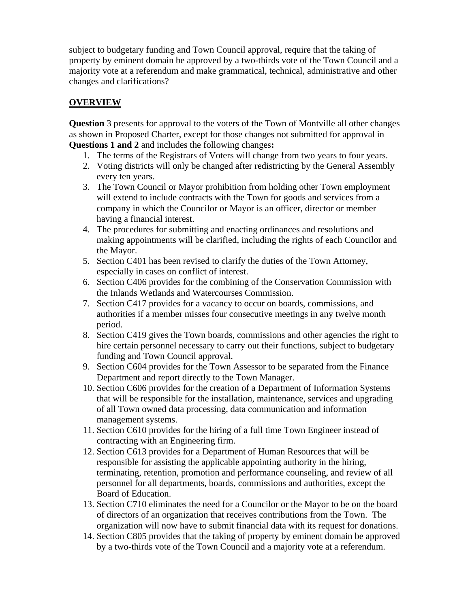subject to budgetary funding and Town Council approval, require that the taking of property by eminent domain be approved by a two-thirds vote of the Town Council and a majority vote at a referendum and make grammatical, technical, administrative and other changes and clarifications?

# **OVERVIEW**

**Question** 3 presents for approval to the voters of the Town of Montville all other changes as shown in Proposed Charter, except for those changes not submitted for approval in **Questions 1 and 2** and includes the following changes**:** 

- 1. The terms of the Registrars of Voters will change from two years to four years.
- 2. Voting districts will only be changed after redistricting by the General Assembly every ten years.
- 3. The Town Council or Mayor prohibition from holding other Town employment will extend to include contracts with the Town for goods and services from a company in which the Councilor or Mayor is an officer, director or member having a financial interest.
- 4. The procedures for submitting and enacting ordinances and resolutions and making appointments will be clarified, including the rights of each Councilor and the Mayor.
- 5. Section C401 has been revised to clarify the duties of the Town Attorney, especially in cases on conflict of interest.
- 6. Section C406 provides for the combining of the Conservation Commission with the Inlands Wetlands and Watercourses Commission.
- 7. Section C417 provides for a vacancy to occur on boards, commissions, and authorities if a member misses four consecutive meetings in any twelve month period.
- 8. Section C419 gives the Town boards, commissions and other agencies the right to hire certain personnel necessary to carry out their functions, subject to budgetary funding and Town Council approval.
- 9. Section C604 provides for the Town Assessor to be separated from the Finance Department and report directly to the Town Manager.
- 10. Section C606 provides for the creation of a Department of Information Systems that will be responsible for the installation, maintenance, services and upgrading of all Town owned data processing, data communication and information management systems.
- 11. Section C610 provides for the hiring of a full time Town Engineer instead of contracting with an Engineering firm.
- 12. Section C613 provides for a Department of Human Resources that will be responsible for assisting the applicable appointing authority in the hiring, terminating, retention, promotion and performance counseling, and review of all personnel for all departments, boards, commissions and authorities, except the Board of Education.
- 13. Section C710 eliminates the need for a Councilor or the Mayor to be on the board of directors of an organization that receives contributions from the Town. The organization will now have to submit financial data with its request for donations.
- 14. Section C805 provides that the taking of property by eminent domain be approved by a two-thirds vote of the Town Council and a majority vote at a referendum.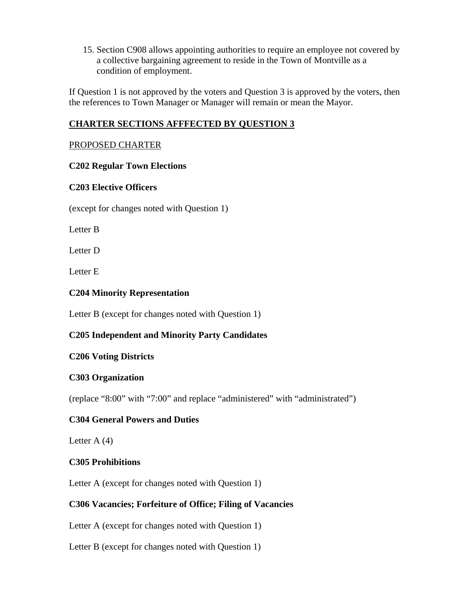15. Section C908 allows appointing authorities to require an employee not covered by a collective bargaining agreement to reside in the Town of Montville as a condition of employment.

If Question 1 is not approved by the voters and Question 3 is approved by the voters, then the references to Town Manager or Manager will remain or mean the Mayor.

## **CHARTER SECTIONS AFFFECTED BY QUESTION 3**

#### PROPOSED CHARTER

#### **C202 Regular Town Elections**

#### **C203 Elective Officers**

(except for changes noted with Question 1)

Letter B

Letter D

Letter E

#### **C204 Minority Representation**

Letter B (except for changes noted with Question 1)

### **C205 Independent and Minority Party Candidates**

### **C206 Voting Districts**

#### **C303 Organization**

(replace "8:00" with "7:00" and replace "administered" with "administrated")

#### **C304 General Powers and Duties**

Letter  $A(4)$ 

#### **C305 Prohibitions**

Letter A (except for changes noted with Question 1)

### **C306 Vacancies; Forfeiture of Office; Filing of Vacancies**

Letter A (except for changes noted with Question 1)

Letter B (except for changes noted with Question 1)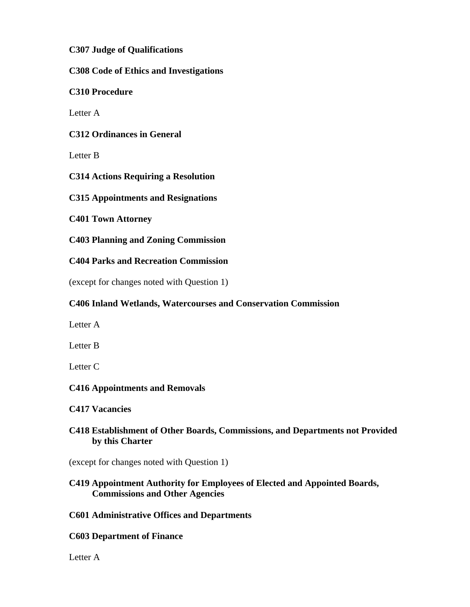**C307 Judge of Qualifications** 

**C308 Code of Ethics and Investigations** 

**C310 Procedure** 

Letter A

**C312 Ordinances in General** 

Letter B

**C314 Actions Requiring a Resolution** 

**C315 Appointments and Resignations** 

**C401 Town Attorney** 

**C403 Planning and Zoning Commission** 

**C404 Parks and Recreation Commission** 

(except for changes noted with Question 1)

## **C406 Inland Wetlands, Watercourses and Conservation Commission**

Letter A

Letter B

Letter C

### **C416 Appointments and Removals**

**C417 Vacancies** 

## **C418 Establishment of Other Boards, Commissions, and Departments not Provided by this Charter**

(except for changes noted with Question 1)

### **C419 Appointment Authority for Employees of Elected and Appointed Boards, Commissions and Other Agencies**

### **C601 Administrative Offices and Departments**

### **C603 Department of Finance**

Letter A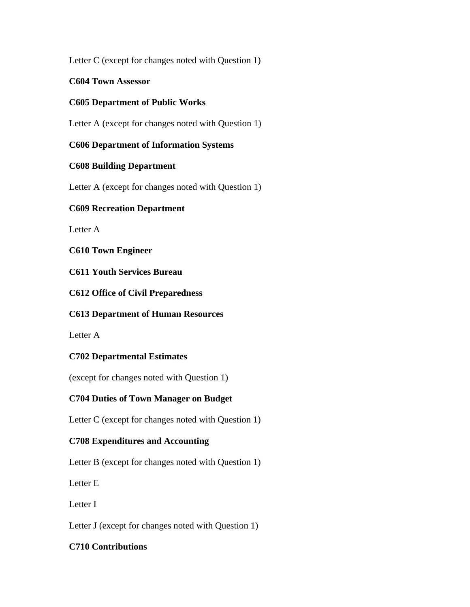Letter C (except for changes noted with Question 1)

**C604 Town Assessor**

# **C605 Department of Public Works**

Letter A (except for changes noted with Question 1)

## **C606 Department of Information Systems**

## **C608 Building Department**

Letter A (except for changes noted with Question 1)

## **C609 Recreation Department**

Letter A

## **C610 Town Engineer**

**C611 Youth Services Bureau** 

**C612 Office of Civil Preparedness** 

# **C613 Department of Human Resources**

Letter A

# **C702 Departmental Estimates**

(except for changes noted with Question 1)

# **C704 Duties of Town Manager on Budget**

Letter C (except for changes noted with Question 1)

# **C708 Expenditures and Accounting**

Letter B (except for changes noted with Question 1)

Letter E

Letter I

Letter J (except for changes noted with Question 1)

# **C710 Contributions**